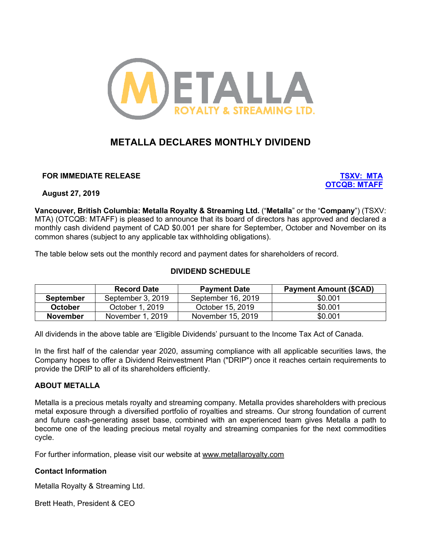

# **METALLA DECLARES MONTHLY DIVIDEND**

**FOR IMMEDIATE RELEASE TSXV: MTA**

**OTCQB: MTAFF**

**August 27, 2019**

**Vancouver, British Columbia: Metalla Royalty & Streaming Ltd.** ("**Metalla**" or the "**Company**") (TSXV: MTA) (OTCQB: MTAFF) is pleased to announce that its board of directors has approved and declared a monthly cash dividend payment of CAD \$0.001 per share for September, October and November on its common shares (subject to any applicable tax withholding obligations).

The table below sets out the monthly record and payment dates for shareholders of record.

# **DIVIDEND SCHEDULE**

|                  | <b>Record Date</b> | <b>Payment Date</b> | <b>Payment Amount (\$CAD)</b> |
|------------------|--------------------|---------------------|-------------------------------|
| <b>September</b> | September 3, 2019  | September 16, 2019  | \$0.001                       |
| <b>October</b>   | October 1, 2019    | October 15, 2019    | \$0.001                       |
| <b>November</b>  | November 1, 2019   | November 15, 2019   | \$0.001                       |

All dividends in the above table are 'Eligible Dividends' pursuant to the Income Tax Act of Canada.

In the first half of the calendar year 2020, assuming compliance with all applicable securities laws, the Company hopes to offer a Dividend Reinvestment Plan ("DRIP") once it reaches certain requirements to provide the DRIP to all of its shareholders efficiently.

# **ABOUT METALLA**

Metalla is a precious metals royalty and streaming company. Metalla provides shareholders with precious metal exposure through a diversified portfolio of royalties and streams. Our strong foundation of current and future cash-generating asset base, combined with an experienced team gives Metalla a path to become one of the leading precious metal royalty and streaming companies for the next commodities cycle.

For further information, please visit our website at www.metallaroyalty.com

## **Contact Information**

Metalla Royalty & Streaming Ltd.

Brett Heath, President & CEO